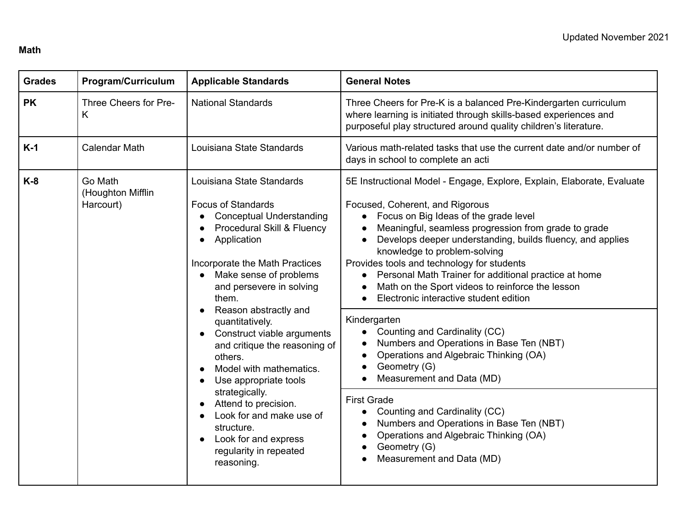#### **Math**

| <b>Grades</b> | <b>Program/Curriculum</b>                 | <b>Applicable Standards</b>                                                                                                                                                                                                                                                                                                                                                                                                                                                                                                                                                                                                                         | <b>General Notes</b>                                                                                                                                                                                                                                                                                                                                                                                                                                                                                                                                                                                                                                                                                                                                                                                                                                                                                                               |
|---------------|-------------------------------------------|-----------------------------------------------------------------------------------------------------------------------------------------------------------------------------------------------------------------------------------------------------------------------------------------------------------------------------------------------------------------------------------------------------------------------------------------------------------------------------------------------------------------------------------------------------------------------------------------------------------------------------------------------------|------------------------------------------------------------------------------------------------------------------------------------------------------------------------------------------------------------------------------------------------------------------------------------------------------------------------------------------------------------------------------------------------------------------------------------------------------------------------------------------------------------------------------------------------------------------------------------------------------------------------------------------------------------------------------------------------------------------------------------------------------------------------------------------------------------------------------------------------------------------------------------------------------------------------------------|
| <b>PK</b>     | Three Cheers for Pre-<br>K                | <b>National Standards</b>                                                                                                                                                                                                                                                                                                                                                                                                                                                                                                                                                                                                                           | Three Cheers for Pre-K is a balanced Pre-Kindergarten curriculum<br>where learning is initiated through skills-based experiences and<br>purposeful play structured around quality children's literature.                                                                                                                                                                                                                                                                                                                                                                                                                                                                                                                                                                                                                                                                                                                           |
| $K-1$         | <b>Calendar Math</b>                      | Louisiana State Standards                                                                                                                                                                                                                                                                                                                                                                                                                                                                                                                                                                                                                           | Various math-related tasks that use the current date and/or number of<br>days in school to complete an acti                                                                                                                                                                                                                                                                                                                                                                                                                                                                                                                                                                                                                                                                                                                                                                                                                        |
| $K-8$         | Go Math<br>(Houghton Mifflin<br>Harcourt) | Louisiana State Standards<br><b>Focus of Standards</b><br><b>Conceptual Understanding</b><br>Procedural Skill & Fluency<br>$\bullet$<br>Application<br>$\bullet$<br>Incorporate the Math Practices<br>Make sense of problems<br>and persevere in solving<br>them.<br>Reason abstractly and<br>$\bullet$<br>quantitatively.<br>Construct viable arguments<br>and critique the reasoning of<br>others.<br>Model with mathematics.<br>Use appropriate tools<br>$\bullet$<br>strategically.<br>Attend to precision.<br>$\bullet$<br>Look for and make use of<br>structure.<br>Look for and express<br>$\bullet$<br>regularity in repeated<br>reasoning. | 5E Instructional Model - Engage, Explore, Explain, Elaborate, Evaluate<br>Focused, Coherent, and Rigorous<br>Focus on Big Ideas of the grade level<br>Meaningful, seamless progression from grade to grade<br>Develops deeper understanding, builds fluency, and applies<br>$\bullet$<br>knowledge to problem-solving<br>Provides tools and technology for students<br>Personal Math Trainer for additional practice at home<br>Math on the Sport videos to reinforce the lesson<br>Electronic interactive student edition<br>Kindergarten<br>Counting and Cardinality (CC)<br>Numbers and Operations in Base Ten (NBT)<br>Operations and Algebraic Thinking (OA)<br>Geometry (G)<br>Measurement and Data (MD)<br>$\bullet$<br><b>First Grade</b><br>Counting and Cardinality (CC)<br>$\bullet$<br>Numbers and Operations in Base Ten (NBT)<br>Operations and Algebraic Thinking (OA)<br>Geometry (G)<br>Measurement and Data (MD) |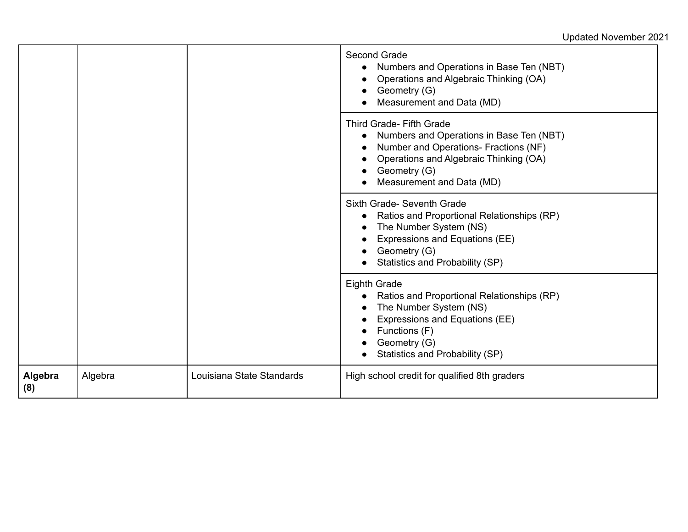|                |         |                           | Second Grade<br>Numbers and Operations in Base Ten (NBT)<br>Operations and Algebraic Thinking (OA)<br>Geometry (G)<br>Measurement and Data (MD)                                                             |
|----------------|---------|---------------------------|-------------------------------------------------------------------------------------------------------------------------------------------------------------------------------------------------------------|
|                |         |                           | <b>Third Grade- Fifth Grade</b><br>Numbers and Operations in Base Ten (NBT)<br>Number and Operations- Fractions (NF)<br>Operations and Algebraic Thinking (OA)<br>Geometry (G)<br>Measurement and Data (MD) |
|                |         |                           | Sixth Grade- Seventh Grade<br>Ratios and Proportional Relationships (RP)<br>The Number System (NS)<br>Expressions and Equations (EE)<br>Geometry (G)<br>Statistics and Probability (SP)                     |
|                |         |                           | <b>Eighth Grade</b><br>Ratios and Proportional Relationships (RP)<br>The Number System (NS)<br>Expressions and Equations (EE)<br>Functions (F)<br>Geometry (G)<br>Statistics and Probability (SP)           |
| Algebra<br>(8) | Algebra | Louisiana State Standards | High school credit for qualified 8th graders                                                                                                                                                                |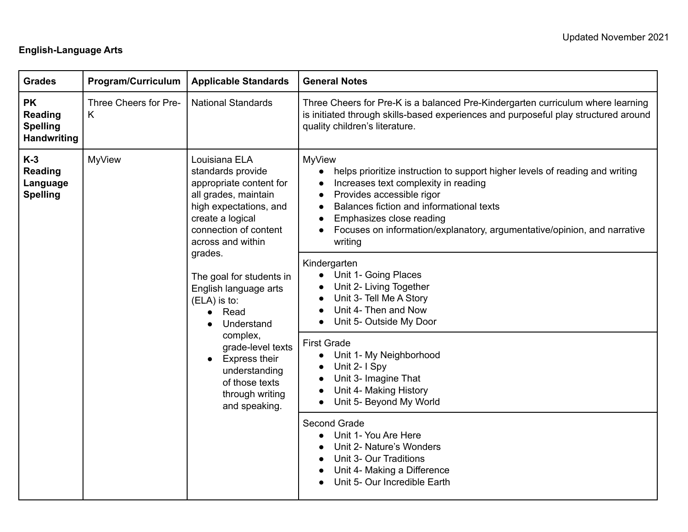# **English-Language Arts**

| <b>Grades</b>                                                        | <b>Program/Curriculum</b>  | <b>Applicable Standards</b>                                                                                                                                                                                                                                                                                                                                                                                             | <b>General Notes</b>                                                                                                                                                                                                                                                                                                                                                                                                                                                                                                                                                                                                                                                                                                                                                                                                                                                                                                  |
|----------------------------------------------------------------------|----------------------------|-------------------------------------------------------------------------------------------------------------------------------------------------------------------------------------------------------------------------------------------------------------------------------------------------------------------------------------------------------------------------------------------------------------------------|-----------------------------------------------------------------------------------------------------------------------------------------------------------------------------------------------------------------------------------------------------------------------------------------------------------------------------------------------------------------------------------------------------------------------------------------------------------------------------------------------------------------------------------------------------------------------------------------------------------------------------------------------------------------------------------------------------------------------------------------------------------------------------------------------------------------------------------------------------------------------------------------------------------------------|
| <b>PK</b><br><b>Reading</b><br><b>Spelling</b><br><b>Handwriting</b> | Three Cheers for Pre-<br>K | <b>National Standards</b>                                                                                                                                                                                                                                                                                                                                                                                               | Three Cheers for Pre-K is a balanced Pre-Kindergarten curriculum where learning<br>is initiated through skills-based experiences and purposeful play structured around<br>quality children's literature.                                                                                                                                                                                                                                                                                                                                                                                                                                                                                                                                                                                                                                                                                                              |
| $K-3$<br><b>Reading</b><br>Language<br><b>Spelling</b>               | <b>MyView</b>              | Louisiana ELA<br>standards provide<br>appropriate content for<br>all grades, maintain<br>high expectations, and<br>create a logical<br>connection of content<br>across and within<br>grades.<br>The goal for students in<br>English language arts<br>(ELA) is to:<br>Read<br>Understand<br>complex,<br>grade-level texts<br><b>Express their</b><br>understanding<br>of those texts<br>through writing<br>and speaking. | <b>MyView</b><br>helps prioritize instruction to support higher levels of reading and writing<br>$\bullet$<br>Increases text complexity in reading<br>$\bullet$<br>Provides accessible rigor<br>$\bullet$<br>Balances fiction and informational texts<br>$\bullet$<br>Emphasizes close reading<br>$\bullet$<br>Focuses on information/explanatory, argumentative/opinion, and narrative<br>writing<br>Kindergarten<br>• Unit 1- Going Places<br>Unit 2- Living Together<br>Unit 3- Tell Me A Story<br>Unit 4- Then and Now<br>Unit 5- Outside My Door<br>$\bullet$<br><b>First Grade</b><br>Unit 1- My Neighborhood<br>$\bullet$<br>Unit 2- I Spy<br>$\bullet$<br>Unit 3- Imagine That<br>Unit 4- Making History<br>Unit 5- Beyond My World<br>$\bullet$<br>Second Grade<br>Unit 1- You Are Here<br>Unit 2- Nature's Wonders<br>Unit 3- Our Traditions<br>Unit 4- Making a Difference<br>Unit 5- Our Incredible Earth |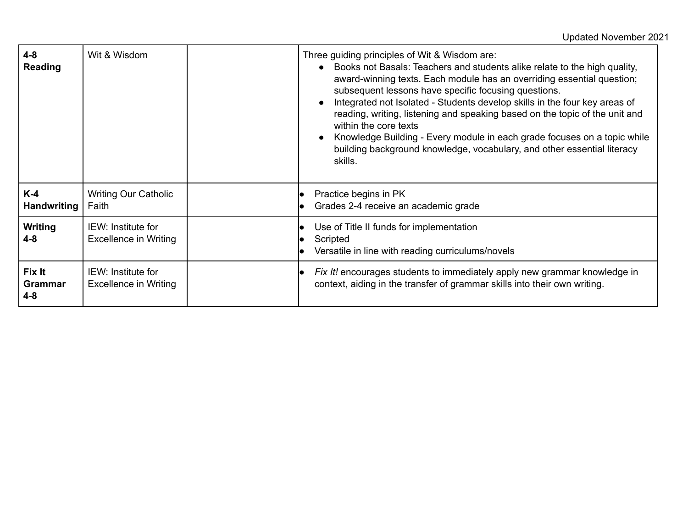| $4 - 8$<br><b>Reading</b>           | Wit & Wisdom                                | Three guiding principles of Wit & Wisdom are:<br>• Books not Basals: Teachers and students alike relate to the high quality,<br>award-winning texts. Each module has an overriding essential question;<br>subsequent lessons have specific focusing questions.<br>Integrated not Isolated - Students develop skills in the four key areas of<br>$\bullet$<br>reading, writing, listening and speaking based on the topic of the unit and<br>within the core texts<br>Knowledge Building - Every module in each grade focuses on a topic while<br>$\bullet$<br>building background knowledge, vocabulary, and other essential literacy<br>skills. |
|-------------------------------------|---------------------------------------------|--------------------------------------------------------------------------------------------------------------------------------------------------------------------------------------------------------------------------------------------------------------------------------------------------------------------------------------------------------------------------------------------------------------------------------------------------------------------------------------------------------------------------------------------------------------------------------------------------------------------------------------------------|
| $K-4$<br>Handwriting                | <b>Writing Our Catholic</b><br>Faith        | Practice begins in PK<br>Grades 2-4 receive an academic grade                                                                                                                                                                                                                                                                                                                                                                                                                                                                                                                                                                                    |
| Writing<br>4-8                      | IEW: Institute for<br>Excellence in Writing | Use of Title II funds for implementation<br>Scripted<br>Versatile in line with reading curriculums/novels                                                                                                                                                                                                                                                                                                                                                                                                                                                                                                                                        |
| Fix It<br><b>Grammar</b><br>$4 - 8$ | IEW: Institute for<br>Excellence in Writing | <i>Fix It!</i> encourages students to immediately apply new grammar knowledge in<br>context, aiding in the transfer of grammar skills into their own writing.                                                                                                                                                                                                                                                                                                                                                                                                                                                                                    |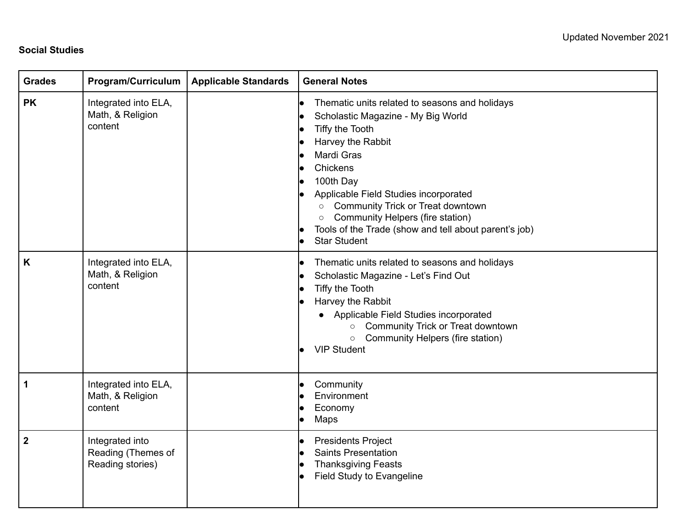### **Social Studies**

| <b>Grades</b>    | Program/Curriculum                                        | <b>Applicable Standards</b> | <b>General Notes</b>                                                                                                                                                                                                                                                                                                                                                                                           |
|------------------|-----------------------------------------------------------|-----------------------------|----------------------------------------------------------------------------------------------------------------------------------------------------------------------------------------------------------------------------------------------------------------------------------------------------------------------------------------------------------------------------------------------------------------|
| <b>PK</b>        | Integrated into ELA,<br>Math, & Religion<br>content       |                             | Thematic units related to seasons and holidays<br>lo<br>Scholastic Magazine - My Big World<br>Tiffy the Tooth<br>Harvey the Rabbit<br>Mardi Gras<br>lo<br>Chickens<br>100th Day<br>Applicable Field Studies incorporated<br><b>Community Trick or Treat downtown</b><br>$\circ$<br>Community Helpers (fire station)<br>$\circ$<br>Tools of the Trade (show and tell about parent's job)<br><b>Star Student</b> |
| K                | Integrated into ELA,<br>Math, & Religion<br>content       |                             | Thematic units related to seasons and holidays<br>lo<br>Scholastic Magazine - Let's Find Out<br>Tiffy the Tooth<br>Harvey the Rabbit<br>• Applicable Field Studies incorporated<br>Community Trick or Treat downtown<br>$\circ$<br>Community Helpers (fire station)<br>$\circ$<br><b>VIP Student</b>                                                                                                           |
| 1                | Integrated into ELA,<br>Math, & Religion<br>content       |                             | Community<br>Environment<br>Economy<br>Maps<br>lo                                                                                                                                                                                                                                                                                                                                                              |
| $\boldsymbol{2}$ | Integrated into<br>Reading (Themes of<br>Reading stories) |                             | <b>Presidents Project</b><br><b>Saints Presentation</b><br><b>Thanksgiving Feasts</b><br>Field Study to Evangeline                                                                                                                                                                                                                                                                                             |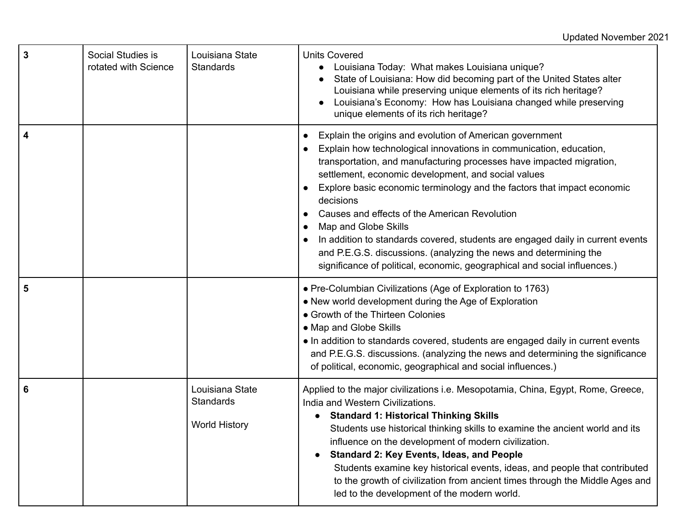| 3 | Social Studies is<br>rotated with Science | Louisiana State<br><b>Standards</b>                  | <b>Units Covered</b><br>Louisiana Today: What makes Louisiana unique?<br>State of Louisiana: How did becoming part of the United States alter<br>Louisiana while preserving unique elements of its rich heritage?<br>Louisiana's Economy: How has Louisiana changed while preserving<br>unique elements of its rich heritage?                                                                                                                                                                                                                                                                                                                                                   |
|---|-------------------------------------------|------------------------------------------------------|---------------------------------------------------------------------------------------------------------------------------------------------------------------------------------------------------------------------------------------------------------------------------------------------------------------------------------------------------------------------------------------------------------------------------------------------------------------------------------------------------------------------------------------------------------------------------------------------------------------------------------------------------------------------------------|
| 4 |                                           |                                                      | Explain the origins and evolution of American government<br>Explain how technological innovations in communication, education,<br>transportation, and manufacturing processes have impacted migration,<br>settlement, economic development, and social values<br>Explore basic economic terminology and the factors that impact economic<br>decisions<br>Causes and effects of the American Revolution<br>Map and Globe Skills<br>$\bullet$<br>In addition to standards covered, students are engaged daily in current events<br>and P.E.G.S. discussions. (analyzing the news and determining the<br>significance of political, economic, geographical and social influences.) |
| 5 |                                           |                                                      | · Pre-Columbian Civilizations (Age of Exploration to 1763)<br>• New world development during the Age of Exploration<br>• Growth of the Thirteen Colonies<br>• Map and Globe Skills<br>• In addition to standards covered, students are engaged daily in current events<br>and P.E.G.S. discussions. (analyzing the news and determining the significance<br>of political, economic, geographical and social influences.)                                                                                                                                                                                                                                                        |
| 6 |                                           | Louisiana State<br>Standards<br><b>World History</b> | Applied to the major civilizations i.e. Mesopotamia, China, Egypt, Rome, Greece,<br>India and Western Civilizations.<br><b>Standard 1: Historical Thinking Skills</b><br>Students use historical thinking skills to examine the ancient world and its<br>influence on the development of modern civilization.<br><b>Standard 2: Key Events, Ideas, and People</b><br>Students examine key historical events, ideas, and people that contributed<br>to the growth of civilization from ancient times through the Middle Ages and<br>led to the development of the modern world.                                                                                                  |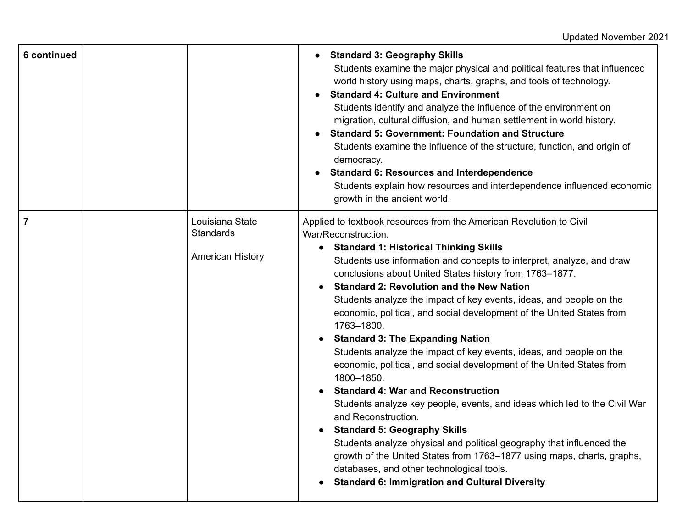| 6 continued    |                                                                | <b>Standard 3: Geography Skills</b><br>Students examine the major physical and political features that influenced<br>world history using maps, charts, graphs, and tools of technology.<br><b>Standard 4: Culture and Environment</b><br>Students identify and analyze the influence of the environment on<br>migration, cultural diffusion, and human settlement in world history.<br><b>Standard 5: Government: Foundation and Structure</b><br>Students examine the influence of the structure, function, and origin of<br>democracy.<br><b>Standard 6: Resources and Interdependence</b><br>Students explain how resources and interdependence influenced economic<br>growth in the ancient world.                                                                                                                                                                                                                                                                                                                                                                                                                                                              |
|----------------|----------------------------------------------------------------|---------------------------------------------------------------------------------------------------------------------------------------------------------------------------------------------------------------------------------------------------------------------------------------------------------------------------------------------------------------------------------------------------------------------------------------------------------------------------------------------------------------------------------------------------------------------------------------------------------------------------------------------------------------------------------------------------------------------------------------------------------------------------------------------------------------------------------------------------------------------------------------------------------------------------------------------------------------------------------------------------------------------------------------------------------------------------------------------------------------------------------------------------------------------|
| $\overline{7}$ | Louisiana State<br><b>Standards</b><br><b>American History</b> | Applied to textbook resources from the American Revolution to Civil<br>War/Reconstruction.<br>• Standard 1: Historical Thinking Skills<br>Students use information and concepts to interpret, analyze, and draw<br>conclusions about United States history from 1763-1877.<br><b>Standard 2: Revolution and the New Nation</b><br>Students analyze the impact of key events, ideas, and people on the<br>economic, political, and social development of the United States from<br>1763-1800.<br><b>Standard 3: The Expanding Nation</b><br>$\bullet$<br>Students analyze the impact of key events, ideas, and people on the<br>economic, political, and social development of the United States from<br>1800-1850.<br><b>Standard 4: War and Reconstruction</b><br>Students analyze key people, events, and ideas which led to the Civil War<br>and Reconstruction.<br><b>Standard 5: Geography Skills</b><br>Students analyze physical and political geography that influenced the<br>growth of the United States from 1763–1877 using maps, charts, graphs,<br>databases, and other technological tools.<br><b>Standard 6: Immigration and Cultural Diversity</b> |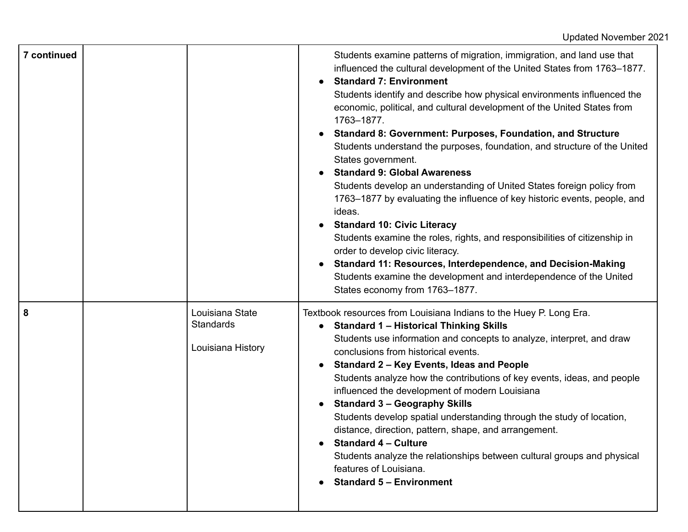| 7 continued |                                                   | Students examine patterns of migration, immigration, and land use that<br>influenced the cultural development of the United States from 1763-1877.<br><b>Standard 7: Environment</b><br>Students identify and describe how physical environments influenced the<br>economic, political, and cultural development of the United States from<br>1763-1877.<br><b>Standard 8: Government: Purposes, Foundation, and Structure</b><br>Students understand the purposes, foundation, and structure of the United<br>States government.<br><b>Standard 9: Global Awareness</b><br>Students develop an understanding of United States foreign policy from<br>1763–1877 by evaluating the influence of key historic events, people, and<br>ideas.<br><b>Standard 10: Civic Literacy</b><br>Students examine the roles, rights, and responsibilities of citizenship in<br>order to develop civic literacy.<br>Standard 11: Resources, Interdependence, and Decision-Making<br>Students examine the development and interdependence of the United<br>States economy from 1763-1877. |
|-------------|---------------------------------------------------|---------------------------------------------------------------------------------------------------------------------------------------------------------------------------------------------------------------------------------------------------------------------------------------------------------------------------------------------------------------------------------------------------------------------------------------------------------------------------------------------------------------------------------------------------------------------------------------------------------------------------------------------------------------------------------------------------------------------------------------------------------------------------------------------------------------------------------------------------------------------------------------------------------------------------------------------------------------------------------------------------------------------------------------------------------------------------|
| 8           | Louisiana State<br>Standards<br>Louisiana History | Textbook resources from Louisiana Indians to the Huey P. Long Era.<br>• Standard 1 - Historical Thinking Skills<br>Students use information and concepts to analyze, interpret, and draw<br>conclusions from historical events.<br>Standard 2 - Key Events, Ideas and People<br>Students analyze how the contributions of key events, ideas, and people<br>influenced the development of modern Louisiana<br><b>Standard 3 - Geography Skills</b><br>Students develop spatial understanding through the study of location,<br>distance, direction, pattern, shape, and arrangement.<br><b>Standard 4 - Culture</b><br>Students analyze the relationships between cultural groups and physical<br>features of Louisiana.<br><b>Standard 5 - Environment</b>                                                                                                                                                                                                                                                                                                                |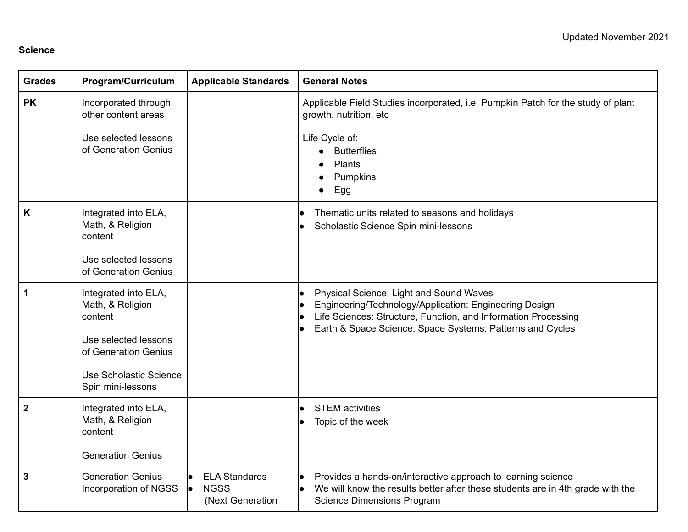#### **Science**

| <b>Grades</b>  | <b>Program/Curriculum</b>                                                                                                                          | <b>Applicable Standards</b>                             | <b>General Notes</b>                                                                                                                                                                                                             |
|----------------|----------------------------------------------------------------------------------------------------------------------------------------------------|---------------------------------------------------------|----------------------------------------------------------------------------------------------------------------------------------------------------------------------------------------------------------------------------------|
| <b>PK</b>      | Incorporated through<br>other content areas<br>Use selected lessons<br>of Generation Genius                                                        |                                                         | Applicable Field Studies incorporated, i.e. Pumpkin Patch for the study of plant<br>growth, nutrition, etc<br>Life Cycle of:<br><b>Butterflies</b><br>$\bullet$<br>Plants<br>Pumpkins<br>Egg<br>$\bullet$                        |
| K              | Integrated into ELA,<br>Math, & Religion<br>content<br>Use selected lessons<br>of Generation Genius                                                |                                                         | Thematic units related to seasons and holidays<br>Scholastic Science Spin mini-lessons                                                                                                                                           |
| 1              | Integrated into ELA,<br>Math, & Religion<br>content<br>Use selected lessons<br>of Generation Genius<br>Use Scholastic Science<br>Spin mini-lessons |                                                         | Physical Science: Light and Sound Waves<br>Engineering/Technology/Application: Engineering Design<br>Life Sciences: Structure, Function, and Information Processing<br>Earth & Space Science: Space Systems: Patterns and Cycles |
| $\overline{2}$ | Integrated into ELA,<br>Math, & Religion<br>content<br><b>Generation Genius</b>                                                                    |                                                         | <b>STEM</b> activities<br>Topic of the week                                                                                                                                                                                      |
| 3              | <b>Generation Genius</b><br>Incorporation of NGSS                                                                                                  | <b>ELA Standards</b><br><b>NGSS</b><br>(Next Generation | Provides a hands-on/interactive approach to learning science<br>We will know the results better after these students are in 4th grade with the<br><b>Science Dimensions Program</b>                                              |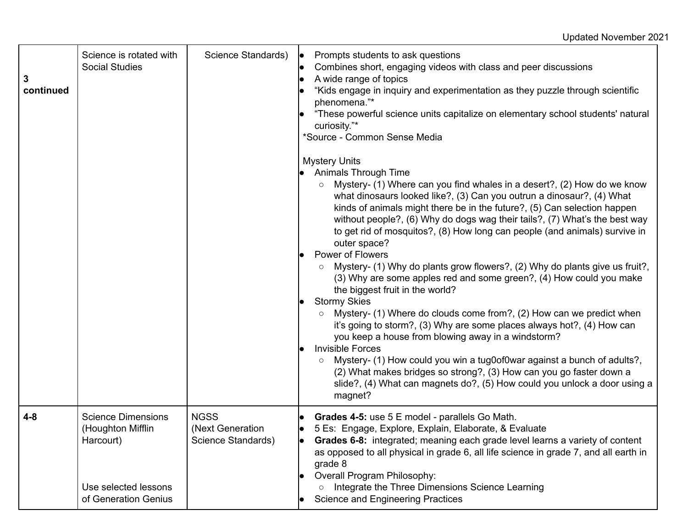| 3<br>continued | Science is rotated with<br><b>Social Studies</b>                                                            | Science Standards)                                    | Prompts students to ask questions<br>le.<br>Combines short, engaging videos with class and peer discussions<br>A wide range of topics<br>"Kids engage in inquiry and experimentation as they puzzle through scientific<br>phenomena."*<br>"These powerful science units capitalize on elementary school students' natural<br>curiosity."*<br>*Source - Common Sense Media<br><b>Mystery Units</b><br><b>Animals Through Time</b><br>Mystery- (1) Where can you find whales in a desert?, (2) How do we know<br>what dinosaurs looked like?, (3) Can you outrun a dinosaur?, (4) What<br>kinds of animals might there be in the future?, (5) Can selection happen<br>without people?, (6) Why do dogs wag their tails?, (7) What's the best way<br>to get rid of mosquitos?, (8) How long can people (and animals) survive in<br>outer space?<br><b>Power of Flowers</b><br>Mystery- (1) Why do plants grow flowers?, (2) Why do plants give us fruit?,<br>(3) Why are some apples red and some green?, (4) How could you make<br>the biggest fruit in the world?<br><b>Stormy Skies</b><br>Mystery- (1) Where do clouds come from?, (2) How can we predict when<br>it's going to storm?, (3) Why are some places always hot?, (4) How can<br>you keep a house from blowing away in a windstorm?<br><b>Invisible Forces</b><br>Mystery- (1) How could you win a tug0of0war against a bunch of adults?,<br>(2) What makes bridges so strong?, (3) How can you go faster down a<br>slide?, (4) What can magnets do?, (5) How could you unlock a door using a<br>magnet? |
|----------------|-------------------------------------------------------------------------------------------------------------|-------------------------------------------------------|----------------------------------------------------------------------------------------------------------------------------------------------------------------------------------------------------------------------------------------------------------------------------------------------------------------------------------------------------------------------------------------------------------------------------------------------------------------------------------------------------------------------------------------------------------------------------------------------------------------------------------------------------------------------------------------------------------------------------------------------------------------------------------------------------------------------------------------------------------------------------------------------------------------------------------------------------------------------------------------------------------------------------------------------------------------------------------------------------------------------------------------------------------------------------------------------------------------------------------------------------------------------------------------------------------------------------------------------------------------------------------------------------------------------------------------------------------------------------------------------------------------------------------------------------------------------|
| $4 - 8$        | <b>Science Dimensions</b><br>(Houghton Mifflin<br>Harcourt)<br>Use selected lessons<br>of Generation Genius | <b>NGSS</b><br>(Next Generation<br>Science Standards) | Grades 4-5: use 5 E model - parallels Go Math.<br>5 Es: Engage, Explore, Explain, Elaborate, & Evaluate<br>$\bullet$<br>Grades 6-8: integrated; meaning each grade level learns a variety of content<br>lo.<br>as opposed to all physical in grade 6, all life science in grade 7, and all earth in<br>grade 8<br>Overall Program Philosophy:<br>Integrate the Three Dimensions Science Learning<br>$\circ$<br><b>Science and Engineering Practices</b>                                                                                                                                                                                                                                                                                                                                                                                                                                                                                                                                                                                                                                                                                                                                                                                                                                                                                                                                                                                                                                                                                                              |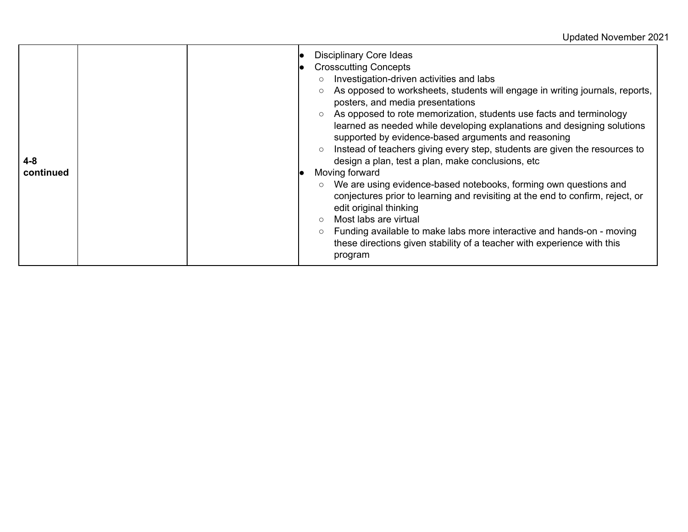| $4 - 8$<br>continued |  | <b>Disciplinary Core Ideas</b><br><b>Crosscutting Concepts</b><br>Investigation-driven activities and labs<br>$\circ$<br>As opposed to worksheets, students will engage in writing journals, reports,<br>$\circ$<br>posters, and media presentations<br>As opposed to rote memorization, students use facts and terminology<br>learned as needed while developing explanations and designing solutions<br>supported by evidence-based arguments and reasoning<br>Instead of teachers giving every step, students are given the resources to<br>design a plan, test a plan, make conclusions, etc<br>Moving forward<br>We are using evidence-based notebooks, forming own questions and<br>conjectures prior to learning and revisiting at the end to confirm, reject, or<br>edit original thinking<br>Most labs are virtual<br>$\circ$<br>Funding available to make labs more interactive and hands-on - moving<br>$\circ$<br>these directions given stability of a teacher with experience with this<br>program |
|----------------------|--|------------------------------------------------------------------------------------------------------------------------------------------------------------------------------------------------------------------------------------------------------------------------------------------------------------------------------------------------------------------------------------------------------------------------------------------------------------------------------------------------------------------------------------------------------------------------------------------------------------------------------------------------------------------------------------------------------------------------------------------------------------------------------------------------------------------------------------------------------------------------------------------------------------------------------------------------------------------------------------------------------------------|
|----------------------|--|------------------------------------------------------------------------------------------------------------------------------------------------------------------------------------------------------------------------------------------------------------------------------------------------------------------------------------------------------------------------------------------------------------------------------------------------------------------------------------------------------------------------------------------------------------------------------------------------------------------------------------------------------------------------------------------------------------------------------------------------------------------------------------------------------------------------------------------------------------------------------------------------------------------------------------------------------------------------------------------------------------------|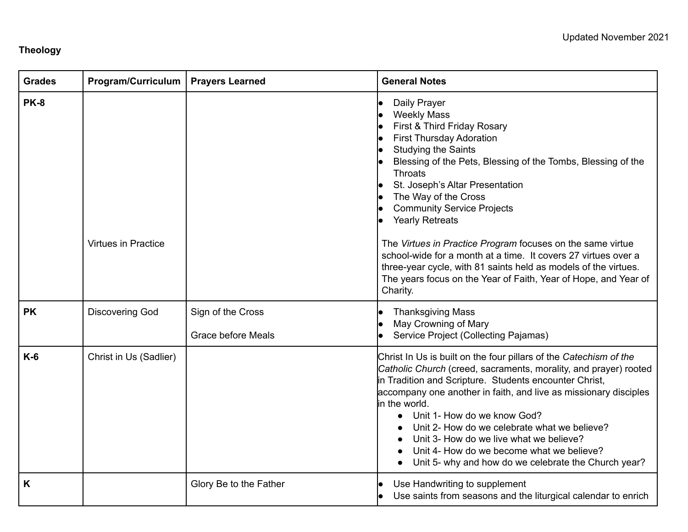# **Theology**

| <b>Grades</b> | <b>Program/Curriculum</b>  | <b>Prayers Learned</b>                         | <b>General Notes</b>                                                                                                                                                                                                                                                                                                                                                                                                                                                                                                                                                                                                             |
|---------------|----------------------------|------------------------------------------------|----------------------------------------------------------------------------------------------------------------------------------------------------------------------------------------------------------------------------------------------------------------------------------------------------------------------------------------------------------------------------------------------------------------------------------------------------------------------------------------------------------------------------------------------------------------------------------------------------------------------------------|
| <b>PK-8</b>   | <b>Virtues in Practice</b> |                                                | Daily Prayer<br><b>Weekly Mass</b><br>First & Third Friday Rosary<br><b>First Thursday Adoration</b><br><b>Studying the Saints</b><br>Blessing of the Pets, Blessing of the Tombs, Blessing of the<br><b>Throats</b><br>St. Joseph's Altar Presentation<br>The Way of the Cross<br><b>Community Service Projects</b><br><b>Yearly Retreats</b><br>The Virtues in Practice Program focuses on the same virtue<br>school-wide for a month at a time. It covers 27 virtues over a<br>three-year cycle, with 81 saints held as models of the virtues.<br>The years focus on the Year of Faith, Year of Hope, and Year of<br>Charity. |
| <b>PK</b>     | <b>Discovering God</b>     | Sign of the Cross<br><b>Grace before Meals</b> | <b>Thanksgiving Mass</b><br>May Crowning of Mary<br>Service Project (Collecting Pajamas)                                                                                                                                                                                                                                                                                                                                                                                                                                                                                                                                         |
| $K-6$         | Christ in Us (Sadlier)     |                                                | Christ In Us is built on the four pillars of the Catechism of the<br>Catholic Church (creed, sacraments, morality, and prayer) rooted<br>in Tradition and Scripture. Students encounter Christ,<br>accompany one another in faith, and live as missionary disciples<br>in the world.<br>Unit 1- How do we know God?<br>$\bullet$<br>Unit 2- How do we celebrate what we believe?<br>Unit 3- How do we live what we believe?<br>Unit 4- How do we become what we believe?<br>Unit 5- why and how do we celebrate the Church year?                                                                                                 |
| K             |                            | Glory Be to the Father                         | Use Handwriting to supplement<br>Use saints from seasons and the liturgical calendar to enrich                                                                                                                                                                                                                                                                                                                                                                                                                                                                                                                                   |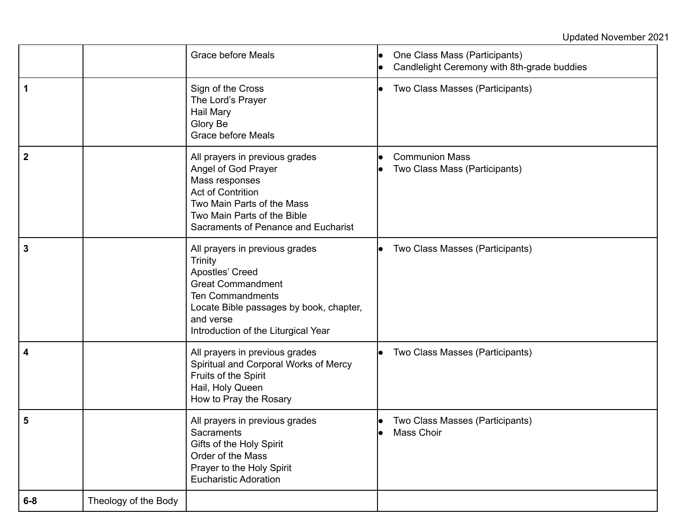# Updated November 2021

|             |                      | <b>Grace before Meals</b>                                                                                                                                                                                                 | One Class Mass (Participants)<br>Candlelight Ceremony with 8th-grade buddies |
|-------------|----------------------|---------------------------------------------------------------------------------------------------------------------------------------------------------------------------------------------------------------------------|------------------------------------------------------------------------------|
| 1           |                      | Sign of the Cross<br>The Lord's Prayer<br>Hail Mary<br>Glory Be<br><b>Grace before Meals</b>                                                                                                                              | Two Class Masses (Participants)                                              |
| $\mathbf 2$ |                      | All prayers in previous grades<br>Angel of God Prayer<br>Mass responses<br><b>Act of Contrition</b><br>Two Main Parts of the Mass<br>Two Main Parts of the Bible<br>Sacraments of Penance and Eucharist                   | <b>Communion Mass</b><br>Two Class Mass (Participants)                       |
| 3           |                      | All prayers in previous grades<br><b>Trinity</b><br>Apostles' Creed<br><b>Great Commandment</b><br><b>Ten Commandments</b><br>Locate Bible passages by book, chapter,<br>and verse<br>Introduction of the Liturgical Year | Two Class Masses (Participants)                                              |
| 4           |                      | All prayers in previous grades<br>Spiritual and Corporal Works of Mercy<br>Fruits of the Spirit<br>Hail, Holy Queen<br>How to Pray the Rosary                                                                             | Two Class Masses (Participants)                                              |
| 5           |                      | All prayers in previous grades<br>Sacraments<br>Gifts of the Holy Spirit<br>Order of the Mass<br>Prayer to the Holy Spirit<br><b>Eucharistic Adoration</b>                                                                | Two Class Masses (Participants)<br>Mass Choir                                |
| $6-8$       | Theology of the Body |                                                                                                                                                                                                                           |                                                                              |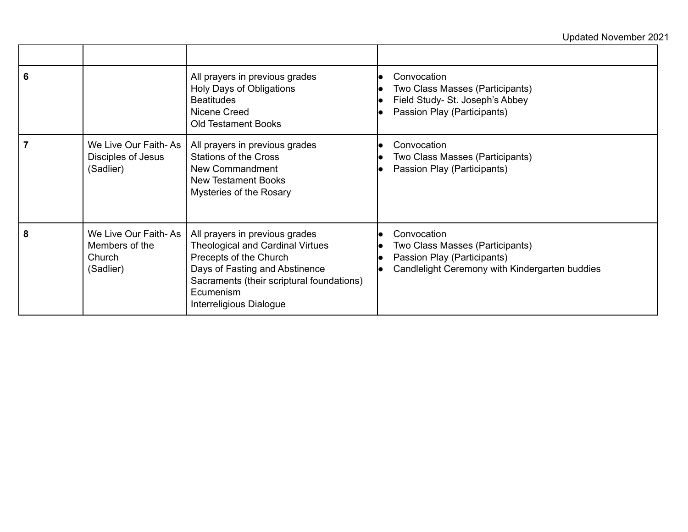# Updated November 2021

| 6 |                                                               | All prayers in previous grades<br>Holy Days of Obligations<br><b>Beatitudes</b><br>Nicene Creed<br><b>Old Testament Books</b>                                                                                              | Convocation<br>Two Class Masses (Participants)<br>Field Study- St. Joseph's Abbey<br>Passion Play (Participants)                |
|---|---------------------------------------------------------------|----------------------------------------------------------------------------------------------------------------------------------------------------------------------------------------------------------------------------|---------------------------------------------------------------------------------------------------------------------------------|
|   | We Live Our Faith-As<br>Disciples of Jesus<br>(Sadlier)       | All prayers in previous grades<br><b>Stations of the Cross</b><br>New Commandment<br><b>New Testament Books</b><br>Mysteries of the Rosary                                                                                 | Convocation<br>Two Class Masses (Participants)<br>Passion Play (Participants)                                                   |
| 8 | We Live Our Faith-As<br>Members of the<br>Church<br>(Sadlier) | All prayers in previous grades<br><b>Theological and Cardinal Virtues</b><br>Precepts of the Church<br>Days of Fasting and Abstinence<br>Sacraments (their scriptural foundations)<br>Ecumenism<br>Interreligious Dialogue | Convocation<br>Two Class Masses (Participants)<br>Passion Play (Participants)<br>Candlelight Ceremony with Kindergarten buddies |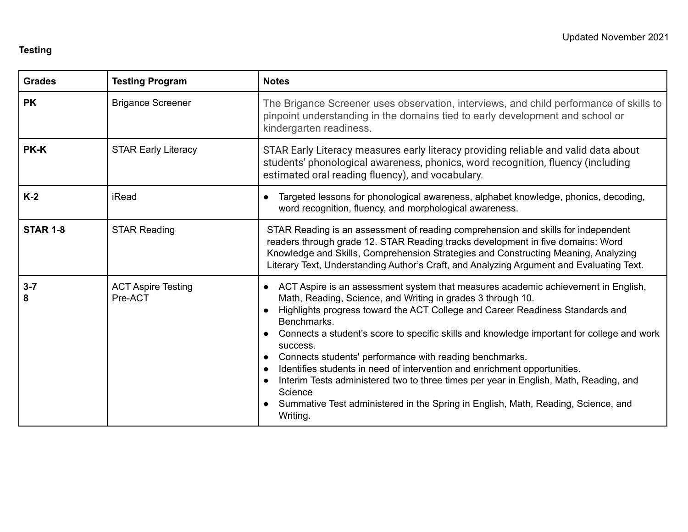### **Testing**

| <b>Grades</b>   | <b>Testing Program</b>               | <b>Notes</b>                                                                                                                                                                                                                                                                                                                                                                                                                                                                                                                                                                                                                                                                                                                                                             |
|-----------------|--------------------------------------|--------------------------------------------------------------------------------------------------------------------------------------------------------------------------------------------------------------------------------------------------------------------------------------------------------------------------------------------------------------------------------------------------------------------------------------------------------------------------------------------------------------------------------------------------------------------------------------------------------------------------------------------------------------------------------------------------------------------------------------------------------------------------|
| <b>PK</b>       | <b>Brigance Screener</b>             | The Brigance Screener uses observation, interviews, and child performance of skills to<br>pinpoint understanding in the domains tied to early development and school or<br>kindergarten readiness.                                                                                                                                                                                                                                                                                                                                                                                                                                                                                                                                                                       |
| PK-K            | <b>STAR Early Literacy</b>           | STAR Early Literacy measures early literacy providing reliable and valid data about<br>students' phonological awareness, phonics, word recognition, fluency (including<br>estimated oral reading fluency), and vocabulary.                                                                                                                                                                                                                                                                                                                                                                                                                                                                                                                                               |
| $K-2$           | iRead                                | Targeted lessons for phonological awareness, alphabet knowledge, phonics, decoding,<br>$\bullet$<br>word recognition, fluency, and morphological awareness.                                                                                                                                                                                                                                                                                                                                                                                                                                                                                                                                                                                                              |
| <b>STAR 1-8</b> | <b>STAR Reading</b>                  | STAR Reading is an assessment of reading comprehension and skills for independent<br>readers through grade 12. STAR Reading tracks development in five domains: Word<br>Knowledge and Skills, Comprehension Strategies and Constructing Meaning, Analyzing<br>Literary Text, Understanding Author's Craft, and Analyzing Argument and Evaluating Text.                                                                                                                                                                                                                                                                                                                                                                                                                   |
| $3 - 7$<br>8    | <b>ACT Aspire Testing</b><br>Pre-ACT | ACT Aspire is an assessment system that measures academic achievement in English,<br>Math, Reading, Science, and Writing in grades 3 through 10.<br>Highlights progress toward the ACT College and Career Readiness Standards and<br>$\bullet$<br>Benchmarks.<br>Connects a student's score to specific skills and knowledge important for college and work<br>$\bullet$<br>success.<br>Connects students' performance with reading benchmarks.<br>$\bullet$<br>Identifies students in need of intervention and enrichment opportunities.<br>$\bullet$<br>Interim Tests administered two to three times per year in English, Math, Reading, and<br>$\bullet$<br>Science<br>Summative Test administered in the Spring in English, Math, Reading, Science, and<br>Writing. |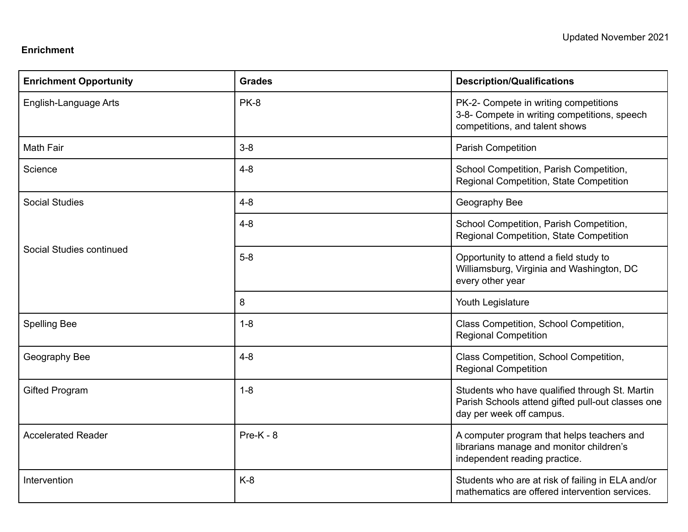#### **Enrichment**

| <b>Enrichment Opportunity</b> | <b>Grades</b> | <b>Description/Qualifications</b>                                                                                               |
|-------------------------------|---------------|---------------------------------------------------------------------------------------------------------------------------------|
| English-Language Arts         | PK-8          | PK-2- Compete in writing competitions<br>3-8- Compete in writing competitions, speech<br>competitions, and talent shows         |
| <b>Math Fair</b>              | $3 - 8$       | <b>Parish Competition</b>                                                                                                       |
| Science                       | $4 - 8$       | School Competition, Parish Competition,<br>Regional Competition, State Competition                                              |
| <b>Social Studies</b>         | $4 - 8$       | Geography Bee                                                                                                                   |
| Social Studies continued      | $4 - 8$       | School Competition, Parish Competition,<br>Regional Competition, State Competition                                              |
|                               | $5-8$         | Opportunity to attend a field study to<br>Williamsburg, Virginia and Washington, DC<br>every other year                         |
|                               | 8             | Youth Legislature                                                                                                               |
| <b>Spelling Bee</b>           | $1 - 8$       | Class Competition, School Competition,<br><b>Regional Competition</b>                                                           |
| Geography Bee                 | $4 - 8$       | Class Competition, School Competition,<br><b>Regional Competition</b>                                                           |
| <b>Gifted Program</b>         | $1 - 8$       | Students who have qualified through St. Martin<br>Parish Schools attend gifted pull-out classes one<br>day per week off campus. |
| <b>Accelerated Reader</b>     | $Pre-K - 8$   | A computer program that helps teachers and<br>librarians manage and monitor children's<br>independent reading practice.         |
| Intervention                  | $K-8$         | Students who are at risk of failing in ELA and/or<br>mathematics are offered intervention services.                             |